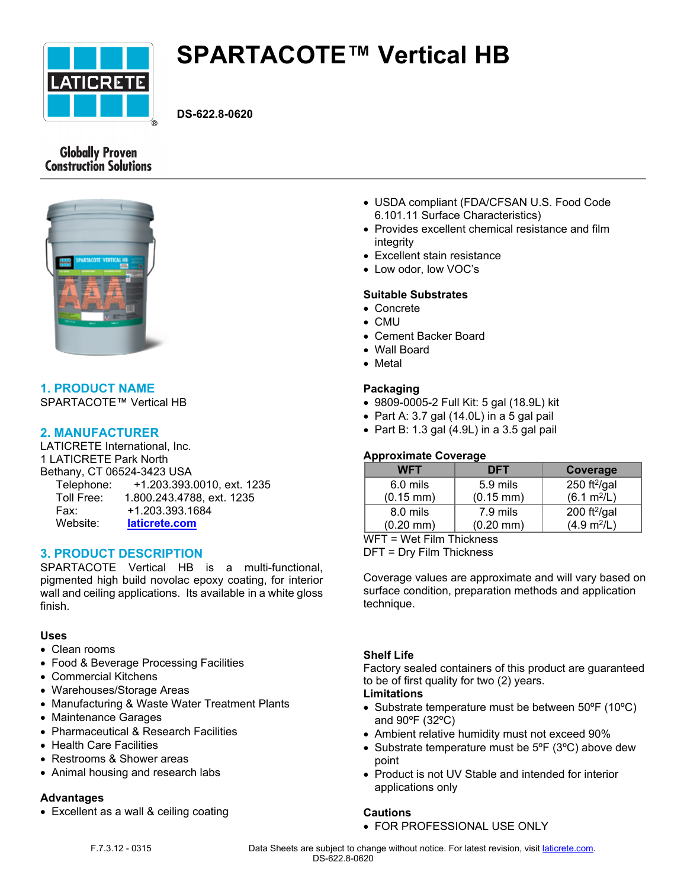

# **SPARTACOTE™ Vertical HB**

**DS-622.8-0620**

# **Globally Proven Construction Solutions**



# **1. PRODUCT NAME**

SPARTACOTE™ Vertical HB

# **2. MANUFACTURER**

LATICRETE International, Inc. 1 LATICRETE Park North Bethany, CT 06524-3423 USA Telephone: +1.203.393.0010, ext. 1235 Toll Free: 1.800.243.4788, ext. 1235 Fax: +1.203.393.1684 Website: **[laticrete.com](https://laticrete.com/)**

# **3. PRODUCT DESCRIPTION**

SPARTACOTE Vertical HB is a multi-functional, pigmented high build novolac epoxy coating, for interior wall and ceiling applications. Its available in a white gloss finish.

#### **Uses**

- Clean rooms
- Food & Beverage Processing Facilities
- Commercial Kitchens
- Warehouses/Storage Areas
- Manufacturing & Waste Water Treatment Plants
- Maintenance Garages
- Pharmaceutical & Research Facilities
- Health Care Facilities
- Restrooms & Shower areas
- Animal housing and research labs

#### **Advantages**

Excellent as a wall & ceiling coating

- USDA compliant (FDA/CFSAN U.S. Food Code 6.101.11 Surface Characteristics)
- Provides excellent chemical resistance and film integrity
- Excellent stain resistance
- Low odor, low VOC's

#### **Suitable Substrates**

- Concrete
- CMU
- Cement Backer Board
- Wall Board
- Metal

#### **Packaging**

- 9809-0005-2 Full Kit: 5 gal (18.9L) kit
- Part A: 3.7 gal  $(14.0L)$  in a 5 gal pail
- $\bullet$  Part B: 1.3 gal (4.9L) in a 3.5 gal pail

#### **Approximate Coverage**

| <b>WFT</b>            | DFT                   | Coverage                |
|-----------------------|-----------------------|-------------------------|
| 6.0 mils              | 5.9 mils              | 250 ft $^{2}/$ gal      |
| $(0.15 \, \text{mm})$ | $(0.15 \, \text{mm})$ | (6.1 m <sup>2</sup> /L) |
| 8.0 mils              | 7.9 mils              | 200 ft $^{2}/$ gal      |
| $(0.20 \text{ mm})$   | $(0.20$ mm $)$        | (4.9 m <sup>2</sup> /L) |

WFT = Wet Film Thickness

DFT = Dry Film Thickness

Coverage values are approximate and will vary based on surface condition, preparation methods and application technique.

#### **Shelf Life**

Factory sealed containers of this product are guaranteed to be of first quality for two (2) years.

#### **Limitations**

- Substrate temperature must be between 50°F (10°C) and 90ºF (32ºC)
- Ambient relative humidity must not exceed 90%
- Substrate temperature must be 5°F (3°C) above dew point
- Product is not UV Stable and intended for interior applications only

#### **Cautions**

FOR PROFESSIONAL USE ONLY

F.7.3.12 - 0315 Data Sheets are subject to change without notice. For latest revision, visit [laticrete.com.](https://laticrete.com/) DS-622.8-0620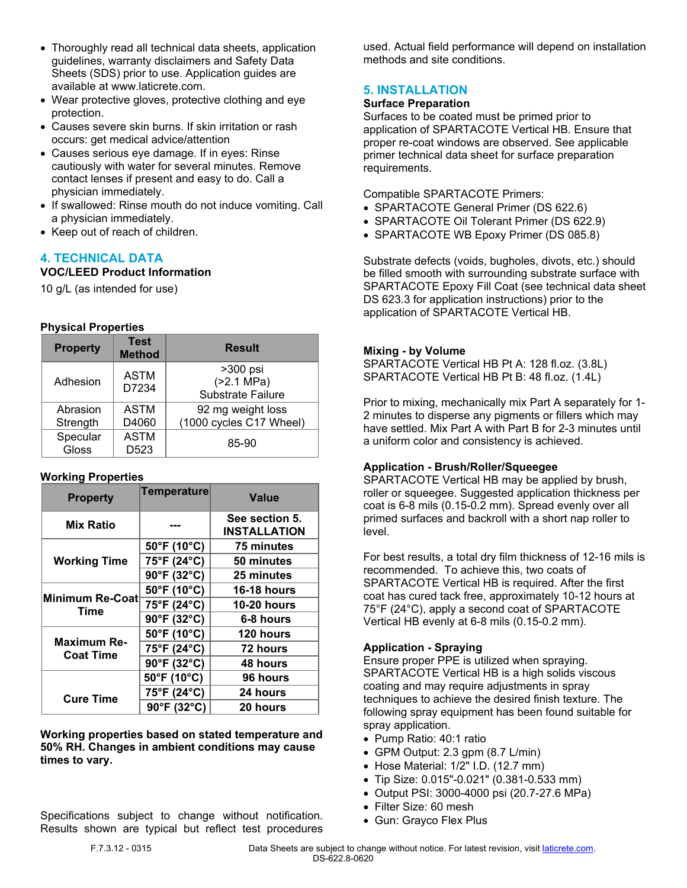- Thoroughly read all technical data sheets, application guidelines, warranty disclaimers and Safety Data Sheets (SDS) prior to use. Application guides are available at www.laticrete.com.
- Wear protective gloves, protective clothing and eye protection.
- Causes severe skin burns. If skin irritation or rash occurs: get medical advice/attention
- Causes serious eye damage. If in eyes: Rinse cautiously with water for several minutes. Remove contact lenses if present and easy to do. Call a physician immediately.
- If swallowed: Rinse mouth do not induce vomiting. Call a physician immediately.
- Keep out of reach of children.

# **4. TECHNICAL DATA**

#### **VOC/LEED Product Information**

10 g/L (as intended for use)

## **Physical Properties**

| <b>Property</b> | <b>Test</b><br><b>Method</b> | <b>Result</b>            |  |
|-----------------|------------------------------|--------------------------|--|
| Adhesion        | <b>ASTM</b><br>D7234         | $>300$ psi               |  |
|                 |                              | ( > 2.1 MPa)             |  |
|                 |                              | <b>Substrate Failure</b> |  |
| Abrasion        | <b>ASTM</b>                  | 92 mg weight loss        |  |
| Strength        | D4060                        | (1000 cycles C17 Wheel)  |  |
| Specular        | <b>ASTM</b>                  |                          |  |
| Gloss           | D <sub>523</sub>             | 85-90                    |  |

#### **Working Properties**

| <b>Property</b>                        | <b>Temperature</b> | Value                                 |
|----------------------------------------|--------------------|---------------------------------------|
| <b>Mix Ratio</b>                       |                    | See section 5.<br><b>INSTALLATION</b> |
| <b>Working Time</b>                    | 50°F (10°C)        | 75 minutes                            |
|                                        | 75°F (24°C)        | 50 minutes                            |
|                                        | 90°F (32°C)        | 25 minutes                            |
| Minimum Re-Coat<br>Time                | 50°F (10°C)        | <b>16-18 hours</b>                    |
|                                        | 75°F (24°C)        | <b>10-20 hours</b>                    |
|                                        | 90°F (32°C)        | 6-8 hours                             |
| <b>Maximum Re-</b><br><b>Coat Time</b> | 50°F (10°C)        | <b>120 hours</b>                      |
|                                        | 75°F (24°C)        | 72 hours                              |
|                                        | 90°F (32°C)        | 48 hours                              |
| <b>Cure Time</b>                       | 50°F (10°C)        | 96 hours                              |
|                                        | 75°F (24°C)        | 24 hours                              |
|                                        | 90°F (32°C)        | 20 hours                              |

**Working properties based on stated temperature and 50% RH. Changes in ambient conditions may cause times to vary.**

Specifications subject to change without notification. Results shown are typical but reflect test procedures used. Actual field performance will depend on installation methods and site conditions.

# **5. INSTALLATION**

#### **Surface Preparation**

Surfaces to be coated must be primed prior to application of SPARTACOTE Vertical HB. Ensure that proper re-coat windows are observed. See applicable primer technical data sheet for surface preparation requirements.

Compatible SPARTACOTE Primers:

- SPARTACOTE General Primer (DS 622.6)
- SPARTACOTE Oil Tolerant Primer (DS 622.9)
- SPARTACOTE WB Epoxy Primer (DS 085.8)

Substrate defects (voids, bugholes, divots, etc.) should be filled smooth with surrounding substrate surface with SPARTACOTE Epoxy Fill Coat (see technical data sheet DS 623.3 for application instructions) prior to the application of SPARTACOTE Vertical HB.

#### **Mixing - by Volume**

SPARTACOTE Vertical HB Pt A: 128 fl.oz. (3.8L) SPARTACOTE Vertical HB Pt B: 48 fl.oz. (1.4L)

Prior to mixing, mechanically mix Part A separately for 1- 2 minutes to disperse any pigments or fillers which may have settled. Mix Part A with Part B for 2-3 minutes until a uniform color and consistency is achieved.

#### **Application - Brush/Roller/Squeegee**

SPARTACOTE Vertical HB may be applied by brush, roller or squeegee. Suggested application thickness per coat is 6-8 mils (0.15-0.2 mm). Spread evenly over all primed surfaces and backroll with a short nap roller to level.

For best results, a total dry film thickness of 12-16 mils is recommended. To achieve this, two coats of SPARTACOTE Vertical HB is required. After the first coat has cured tack free, approximately 10-12 hours at 75°F (24°C), apply a second coat of SPARTACOTE Vertical HB evenly at 6-8 mils (0.15-0.2 mm).

#### **Application - Spraying**

Ensure proper PPE is utilized when spraying. SPARTACOTE Vertical HB is a high solids viscous coating and may require adjustments in spray techniques to achieve the desired finish texture. The following spray equipment has been found suitable for spray application.

- Pump Ratio: 40:1 ratio
- GPM Output: 2.3 gpm (8.7 L/min)
- $\bullet$  Hose Material: 1/2" I.D. (12.7 mm)
- Tip Size: 0.015"-0.021" (0.381-0.533 mm)
- Output PSI: 3000-4000 psi (20.7-27.6 MPa)
- Filter Size: 60 mesh
- Gun: Grayco Flex Plus